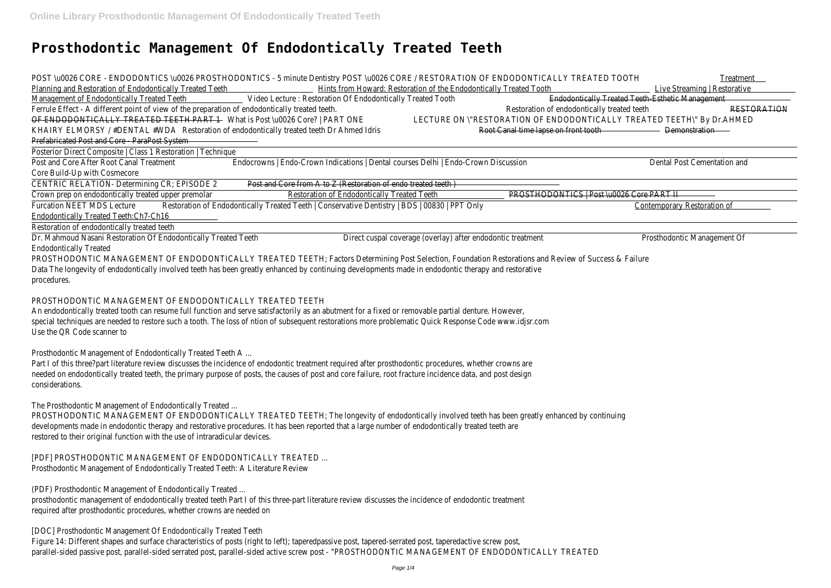# **Prosthodontic Management Of Endodontically Treated Teeth**

| POST \u0026 CORE - ENDODONTICS \u0026 PROSTHODONTICS - 5 minute Dentistry POST \u0026 CORE / RESTORATION OF ENDODONTICALLY TREATED TOOTH<br>Treatment                       |  |  |  |  |
|-----------------------------------------------------------------------------------------------------------------------------------------------------------------------------|--|--|--|--|
| Planning and Restoration of Endodontically Treated Teeth Hints from Howard: Restoration of the Endodontically Treated Tooth Ninten Line<br>Live Streaming   Restorative     |  |  |  |  |
| Management of Endodontically Treated Teeth [18] Video Lecture: Restoration Of Endodontically Treated Tooth<br>Endodontically Treated Teeth-Esthetic Management              |  |  |  |  |
| Restoration of endodontically treated teeth<br>Ferrule Effect - A different point of view of the preparation of endodontically treated teeth.<br>RESTORATION                |  |  |  |  |
| OF ENDODONTICALLY TREATED TEETH PART 1 What is Post \u0026 Core?   PART ONE<br>LECTURE ON \"RESTORATION OF ENDODONTICALLY TREATED TEETH\" By Dr.AHMED                       |  |  |  |  |
| KHAIRY ELMORSY / #DENTAL #WDA Restoration of endodontically treated teeth Dr Ahmed Idris<br>Root Canal time lapse on front tooth Demonstration -                            |  |  |  |  |
| Prefabricated Post and Core - ParaPost System                                                                                                                               |  |  |  |  |
| Posterior Direct Composite   Class 1 Restoration  <br>Technique                                                                                                             |  |  |  |  |
| Post and Core After Root Canal Treatment<br>Endocrowns   Endo-Crown Indications   Dental courses Delhi   Endo-Crown Discussion<br>Dental Post Cementation and               |  |  |  |  |
| Core Build-Up with Cosmecore                                                                                                                                                |  |  |  |  |
| CENTRIC RELATION- Determining CR; EPISODE 2<br>Post and Core from A to Z (Restoration of endo treated teeth)                                                                |  |  |  |  |
| Crown prep on endodontically treated upper premolar<br>Restoration of Endodontically Treated Teeth<br>PROSTHODONTICS   Post \u0026 Core PART II                             |  |  |  |  |
| Restoration of Endodontically Treated Teeth   Conservative Dentistry   BDS   00830  <br><b>Furcation NEET MDS Lecture</b><br>PPT Only<br><b>Contemporary Restoration of</b> |  |  |  |  |
| Endodontically Treated Teeth:Ch7-Ch16                                                                                                                                       |  |  |  |  |
| Restoration of endodontically treated teeth                                                                                                                                 |  |  |  |  |
| Dr. Mahmoud Nasani Restoration Of Endodontically Treated Teeth<br>Direct cuspal coverage (overlay) after endodontic treatment<br>Prosthodontic Management Of                |  |  |  |  |
| <b>Endodontically Treated</b>                                                                                                                                               |  |  |  |  |
| PROSTHODONTIC MANAGEMENT OF ENDODONTICALLY TREATED TEETH; Factors Determining Post Selection, Foundation Restorations and Review of Success & Failure                       |  |  |  |  |
| Data The longevity of endodontically involved teeth has been greatly enhanced by continuing developments made in endodontic therapy and restorative                         |  |  |  |  |
| procedures.                                                                                                                                                                 |  |  |  |  |

Part I of this three?part literature review discusses the incidence of endodontic treatment required after prosthodontic procedures, whether crowns are needed on endodontically treated teeth, the primary purpose of posts, the causes of post and core failure, root fracture incidence data, and post design considerations.

Figure 14: Different shapes and surface characteristics of posts (right to left); taperedpassive post, tapered-serrated post, taperedactive screw post, parallel-sided passive post, parallel-sided serrated post, parallel-sided active screw post - "PROSTHODONTIC MANAGEMENT OF ENDODONTICALLY TREATED

### PROSTHODONTIC MANAGEMENT OF ENDODONTICALLY TREATED TEETH

An endodontically treated tooth can resume full function and serve satisfactorily as an abutment for a fixed or removable partial denture. However, special techniques are needed to restore such a tooth. The loss of ntion of subsequent restorations more problematic Quick Response Code www.idjsr.com Use the QR Code scanner to

Prosthodontic Management of Endodontically Treated Teeth A ...

The Prosthodontic Management of Endodontically Treated ...

PROSTHODONTIC MANAGEMENT OF ENDODONTICALLY TREATED TEETH; The longevity of endodontically involved teeth has been greatly enhanced by continuing developments made in endodontic therapy and restorative procedures. It has been reported that a large number of endodontically treated teeth are restored to their original function with the use of intraradicular devices.

[PDF] PROSTHODONTIC MANAGEMENT OF ENDODONTICALLY TREATED ... Prosthodontic Management of Endodontically Treated Teeth: A Literature Review

(PDF) Prosthodontic Management of Endodontically Treated ...

prosthodontic management of endodontically treated teeth Part I of this three-part literature review discusses the incidence of endodontic treatment required after prosthodontic procedures, whether crowns are needed on

[DOC] Prosthodontic Management Of Endodontically Treated Teeth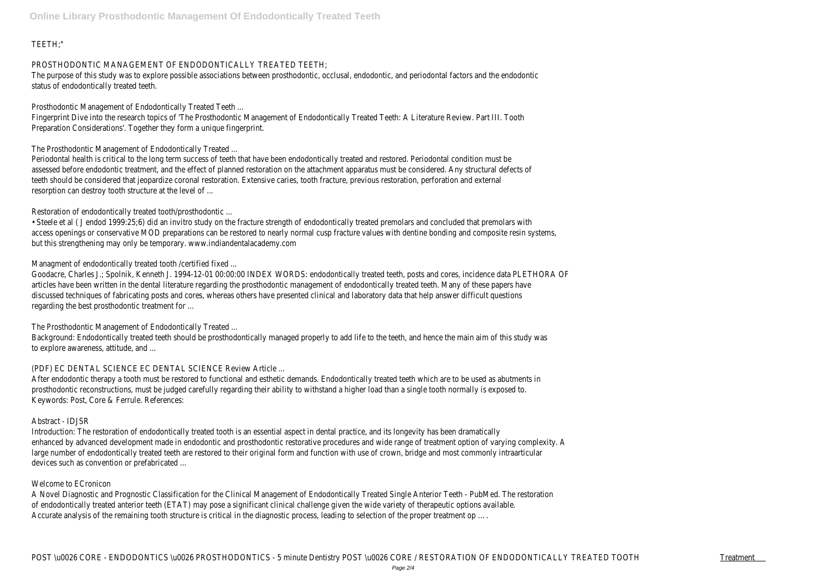# TEETH;"

### PROSTHODONTIC MANAGEMENT OF ENDODONTICALLY TREATED TEETH

The purpose of this study was to explore possible associations between prosthodontic, occlusal, endodontic, and periodontal factors and the endodontic status of endodontically treated teeth.

Prosthodontic Management of Endodontically Treated Teeth ...

Fingerprint Dive into the research topics of 'The Prosthodontic Management of Endodontically Treated Teeth: A Literature Review. Part III. Tooth Preparation Considerations'. Together they form a unique fingerprint.

The Prosthodontic Management of Endodontically Treated ...

Periodontal health is critical to the long term success of teeth that have been endodontically treated and restored. Periodontal condition must be assessed before endodontic treatment, and the effect of planned restoration on the attachment apparatus must be considered. Any structural defects of teeth should be considered that jeopardize coronal restoration. Extensive caries, tooth fracture, previous restoration, perforation and external resorption can destroy tooth structure at the level of ...

Managment of endodontically treated tooth / certified fixed ... Goodacre, Charles J.; Spolnik, Kenneth J. 1994-12-01 00:00:00 INDEX WORDS: endodontically treated teeth, posts and cores, incidence data PLETHORA OF articles have been written in the dental literature regarding the prosthodontic management of endodontically treated teeth. Many of these papers have discussed techniques of fabricating posts and cores, whereas others have presented clinical and laboratory data that help answer difficult questions regarding the best prosthodontic treatment for ...

Restoration of endodontically treated tooth/prosthodontic ...

• Steele et al ( J endod 1999:25;6) did an invitro study on the fracture strength of endodontically treated premolars and concluded that premolars with access openings or conservative MOD preparations can be restored to nearly normal cusp fracture values with dentine bonding and composite resin systems, but this strengthening may only be temporary. www.indiandentalacademy.com

The Prosthodontic Management of Endodontically Treated ...

Background: Endodontically treated teeth should be prosthodontically managed properly to add life to the teeth, and hence the main aim of this study was to explore awareness, attitude, and ...

# (PDF) EC DENTAL SCIENCE EC DENTAL SCIENCE Review Article ...

After endodontic therapy a tooth must be restored to functional and esthetic demands. Endodontically treated teeth which are to be used as abutments in prosthodontic reconstructions, must be judged carefully regarding their ability to withstand a higher load than a single tooth normally is exposed to. Keywords: Post, Core & Ferrule. References:

# Abstract - IDJSR

Introduction: The restoration of endodontically treated tooth is an essential aspect in dental practice, and its longevity has been dramatically enhanced by advanced development made in endodontic and prosthodontic restorative procedures and wide range of treatment option of varying complexity. A large number of endodontically treated teeth are restored to their original form and function with use of crown, bridge and most commonly intraarticular devices such as convention or prefabricated ...

# Welcome to ECronicon

A Novel Diagnostic and Prognostic Classification for the Clinical Management of Endodontically Treated Single Anterior Teeth - PubMed. The restoration of endodontically treated anterior teeth (ETAT) may pose a significant clinical challenge given the wide variety of therapeutic options available. Accurate analysis of the remaining tooth structure is critical in the diagnostic process, leading to selection of the proper treatment op ….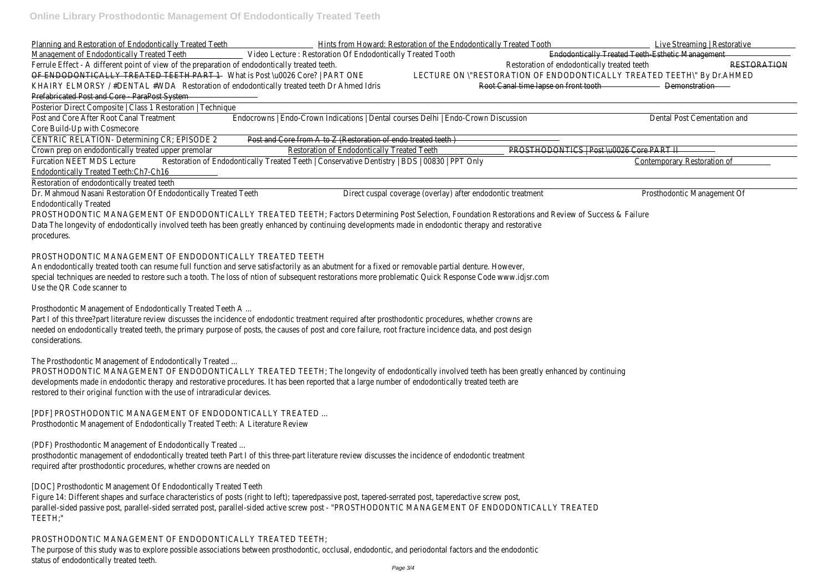| Planning and Restoration of Endodontically Treated Teeth                                              |                                                                                               | Hints from Howard: Restoration of the Endodontically Treated Tooth     | Live Streaming   Restorative                     |
|-------------------------------------------------------------------------------------------------------|-----------------------------------------------------------------------------------------------|------------------------------------------------------------------------|--------------------------------------------------|
| Management of Endodontically Treated Teeth Video Lecture: Restoration Of Endodontically Treated Tooth |                                                                                               |                                                                        | Endodontically Treated Teeth Esthetic Management |
| Ferrule Effect - A different point of view of the preparation of endodontically treated teeth.        |                                                                                               | Restoration of endodontically treated teeth                            | RESTORATION                                      |
| OF ENDODONTICALLY TREATED TEETH PART 1 What is Post \u0026 Core?   PART ONE                           |                                                                                               | LECTURE ON \"RESTORATION OF ENDODONTICALLY TREATED TEETH\" By Dr.AHMED |                                                  |
| KHAIRY ELMORSY / #DENTAL #WDA Restoration of endodontically treated teeth Dr Ahmed Idris              |                                                                                               | Root Canal time lapse on front tooth Demonstration                     |                                                  |
| Prefabricated Post and Core ParaPost System                                                           |                                                                                               |                                                                        |                                                  |
| Posterior Direct Composite   Class 1 Restoration   Technique                                          |                                                                                               |                                                                        |                                                  |
| Post and Core After Root Canal Treatment                                                              | Endocrowns   Endo-Crown Indications   Dental courses Delhi   Endo-Crown Discussion            |                                                                        | Dental Post Cementation and                      |
| Core Build-Up with Cosmecore                                                                          |                                                                                               |                                                                        |                                                  |
| CENTRIC RELATION- Determining CR; EPISODE 2                                                           | Post and Core from A to Z (Restoration of endo treated teeth)                                 |                                                                        |                                                  |
| Crown prep on endodontically treated upper premolar                                                   | Restoration of Endodontically Treated Teeth                                                   | PROSTHODONTICS   Post \u0026 Core PART II                              |                                                  |
| <b>Furcation NEET MDS Lecture</b>                                                                     | Restoration of Endodontically Treated Teeth   Conservative Dentistry   BDS   00830   PPT Only |                                                                        | Contemporary Restoration of                      |
| Endodontically Treated Teeth:Ch7-Ch16                                                                 |                                                                                               |                                                                        |                                                  |
| Restoration of endodontically treated teeth                                                           |                                                                                               |                                                                        |                                                  |

Part I of this three?part literature review discusses the incidence of endodontic treatment required after prosthodontic procedures, whether crowns are needed on endodontically treated teeth, the primary purpose of posts, the causes of post and core failure, root fracture incidence data, and post design considerations.

Dr. Mahmoud Nasani Restoration Of Endodontically Treated Teeth Direct cuspal coverage (overlay) after endodontic treatment Prosthodontic Management Of Endodontically Treated

[PDF] PROSTHODONTIC MANAGEMENT OF ENDODONTICALLY TREATED. Prosthodontic Management of Endodontically Treated Teeth: A Literature Review

PROSTHODONTIC MANAGEMENT OF ENDODONTICALLY TREATED TEETH; Factors Determining Post Selection, Foundation Restorations and Review of Success & Failure Data The longevity of endodontically involved teeth has been greatly enhanced by continuing developments made in endodontic therapy and restorative procedures.

### PROSTHODONTIC MANAGEMENT OF ENDODONTICALLY TREATED TEETH

An endodontically treated tooth can resume full function and serve satisfactorily as an abutment for a fixed or removable partial denture. However, special techniques are needed to restore such a tooth. The loss of ntion of subsequent restorations more problematic Quick Response Code www.idjsr.com Use the QR Code scanner to

Prosthodontic Management of Endodontically Treated Teeth A ...

The Prosthodontic Management of Endodontically Treated ...

PROSTHODONTIC MANAGEMENT OF ENDODONTICALLY TREATED TEETH; The longevity of endodontically involved teeth has been greatly enhanced by continuing developments made in endodontic therapy and restorative procedures. It has been reported that a large number of endodontically treated teeth are restored to their original function with the use of intraradicular devices.

(PDF) Prosthodontic Management of Endodontically Treated ...

prosthodontic management of endodontically treated teeth Part I of this three-part literature review discusses the incidence of endodontic treatment required after prosthodontic procedures, whether crowns are needed on

[DOC] Prosthodontic Management Of Endodontically Treated Teeth

Figure 14: Different shapes and surface characteristics of posts (right to left); taperedpassive post, tapered-serrated post, taperedactive screw post, parallel-sided passive post, parallel-sided serrated post, parallel-sided active screw post - "PROSTHODONTIC MANAGEMENT OF ENDODONTICALLY TREATED TEETH;"

# PROSTHODONTIC MANAGEMENT OF ENDODONTICALLY TREATED TEETH

The purpose of this study was to explore possible associations between prosthodontic, occlusal, endodontic, and periodontal factors and the endodontic status of endodontically treated teeth.

Live Streaming | Restorative ed Teeth Esthetic Management TED TEETH\" By Dr.AHMEI